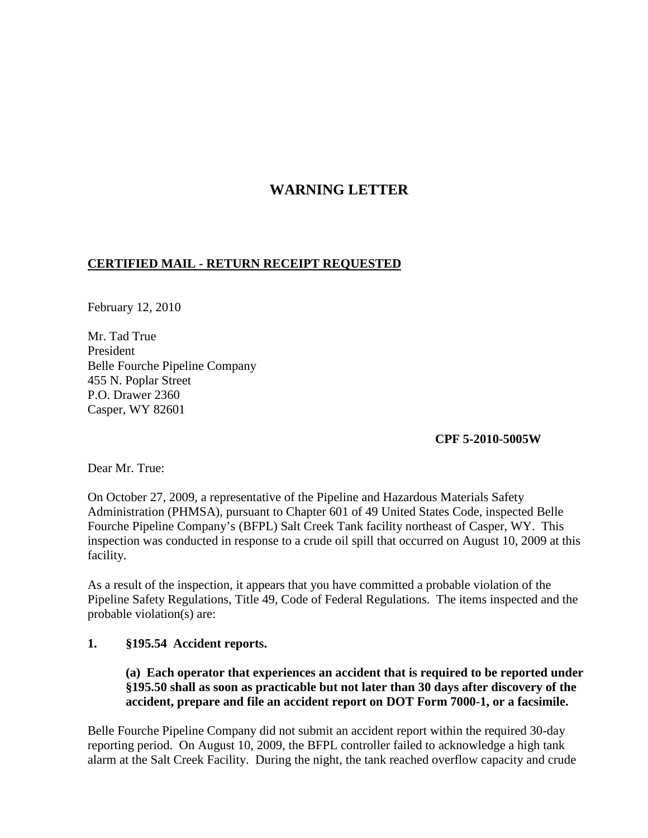## **WARNING LETTER**

## **CERTIFIED MAIL - RETURN RECEIPT REQUESTED**

February 12, 2010

Mr. Tad True President Belle Fourche Pipeline Company 455 N. Poplar Street P.O. Drawer 2360 Casper, WY 82601

**CPF 5-2010-5005W**

Dear Mr. True:

On October 27, 2009, a representative of the Pipeline and Hazardous Materials Safety Administration (PHMSA), pursuant to Chapter 601 of 49 United States Code, inspected Belle Fourche Pipeline Company's (BFPL) Salt Creek Tank facility northeast of Casper, WY. This inspection was conducted in response to a crude oil spill that occurred on August 10, 2009 at this facility.

As a result of the inspection, it appears that you have committed a probable violation of the Pipeline Safety Regulations, Title 49, Code of Federal Regulations. The items inspected and the probable violation(s) are:

## **1. §195.54 Accident reports.**

**(a) Each operator that experiences an accident that is required to be reported under §195.50 shall as soon as practicable but not later than 30 days after discovery of the accident, prepare and file an accident report on DOT Form 7000-1, or a facsimile.**

Belle Fourche Pipeline Company did not submit an accident report within the required 30-day reporting period. On August 10, 2009, the BFPL controller failed to acknowledge a high tank alarm at the Salt Creek Facility. During the night, the tank reached overflow capacity and crude